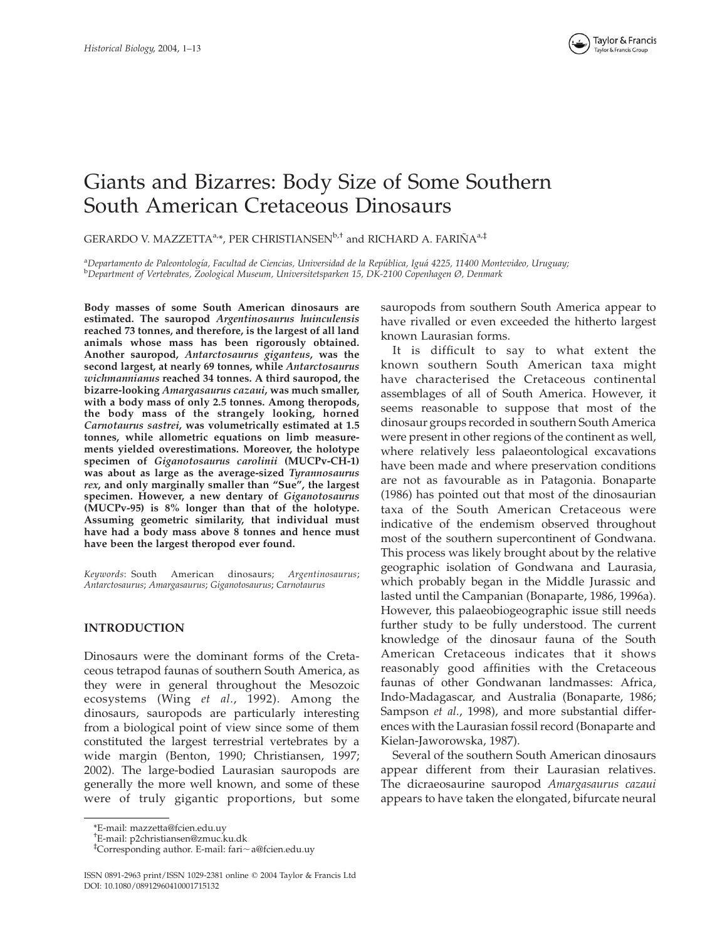

# Giants and Bizarres: Body Size of Some Southern South American Cretaceous Dinosaurs

GERARDO V. MAZZETTA<sup>a,\*</sup>, PER CHRISTIANSEN<sup>b,†</sup> and RICHARD A. FARIÑA<sup>a,‡</sup>

a Departamento de Paleontología, Facultad de Ciencias, Universidad de la República, Iguá 4225, 11400 Montevideo, Uruguay;<br>PDepartment of Vertebrates, Zoological Museum, Universitetsparken 15, DK-2100 Conenhagen Ø. Denmark Department of Vertebrates, Zoological Museum, Universitetsparken 15, DK-2100 Copenhagen Ø, Denmark

Body masses of some South American dinosaurs are estimated. The sauropod Argentinosaurus huinculensis reached 73 tonnes, and therefore, is the largest of all land animals whose mass has been rigorously obtained. Another sauropod, Antarctosaurus giganteus, was the second largest, at nearly 69 tonnes, while Antarctosaurus wichmannianus reached 34 tonnes. A third sauropod, the bizarre-looking Amargasaurus cazaui, was much smaller, with a body mass of only 2.5 tonnes. Among theropods, the body mass of the strangely looking, horned Carnotaurus sastrei, was volumetrically estimated at 1.5 tonnes, while allometric equations on limb measurements yielded overestimations. Moreover, the holotype specimen of Giganotosaurus carolinii (MUCPv-CH-1) was about as large as the average-sized Tyrannosaurus rex, and only marginally smaller than "Sue", the largest specimen. However, a new dentary of Giganotosaurus (MUCPv-95) is 8% longer than that of the holotype. Assuming geometric similarity, that individual must have had a body mass above 8 tonnes and hence must have been the largest theropod ever found.

Keywords: South American dinosaurs; Argentinosaurus; Antarctosaurus; Amargasaurus; Giganotosaurus; Carnotaurus

# INTRODUCTION

Dinosaurs were the dominant forms of the Cretaceous tetrapod faunas of southern South America, as they were in general throughout the Mesozoic ecosystems (Wing et al., 1992). Among the dinosaurs, sauropods are particularly interesting from a biological point of view since some of them constituted the largest terrestrial vertebrates by a wide margin (Benton, 1990; Christiansen, 1997; 2002). The large-bodied Laurasian sauropods are generally the more well known, and some of these were of truly gigantic proportions, but some sauropods from southern South America appear to have rivalled or even exceeded the hitherto largest known Laurasian forms.

It is difficult to say to what extent the known southern South American taxa might have characterised the Cretaceous continental assemblages of all of South America. However, it seems reasonable to suppose that most of the dinosaur groups recorded in southern South America were present in other regions of the continent as well, where relatively less palaeontological excavations have been made and where preservation conditions are not as favourable as in Patagonia. Bonaparte (1986) has pointed out that most of the dinosaurian taxa of the South American Cretaceous were indicative of the endemism observed throughout most of the southern supercontinent of Gondwana. This process was likely brought about by the relative geographic isolation of Gondwana and Laurasia, which probably began in the Middle Jurassic and lasted until the Campanian (Bonaparte, 1986, 1996a). However, this palaeobiogeographic issue still needs further study to be fully understood. The current knowledge of the dinosaur fauna of the South American Cretaceous indicates that it shows reasonably good affinities with the Cretaceous faunas of other Gondwanan landmasses: Africa, Indo-Madagascar, and Australia (Bonaparte, 1986; Sampson et al., 1998), and more substantial differences with the Laurasian fossil record (Bonaparte and Kielan-Jaworowska, 1987).

Several of the southern South American dinosaurs appear different from their Laurasian relatives. The dicraeosaurine sauropod Amargasaurus cazaui appears to have taken the elongated, bifurcate neural

<sup>\*</sup>E-mail: mazzetta@fcien.edu.uy

<sup>†</sup> E-mail: p2christiansen@zmuc.ku.dk

<sup>‡</sup> Corresponding author. E-mail: fari,a@fcien.edu.uy

ISSN 0891-2963 print/ISSN 1029-2381 online q 2004 Taylor & Francis Ltd DOI: 10.1080/08912960410001715132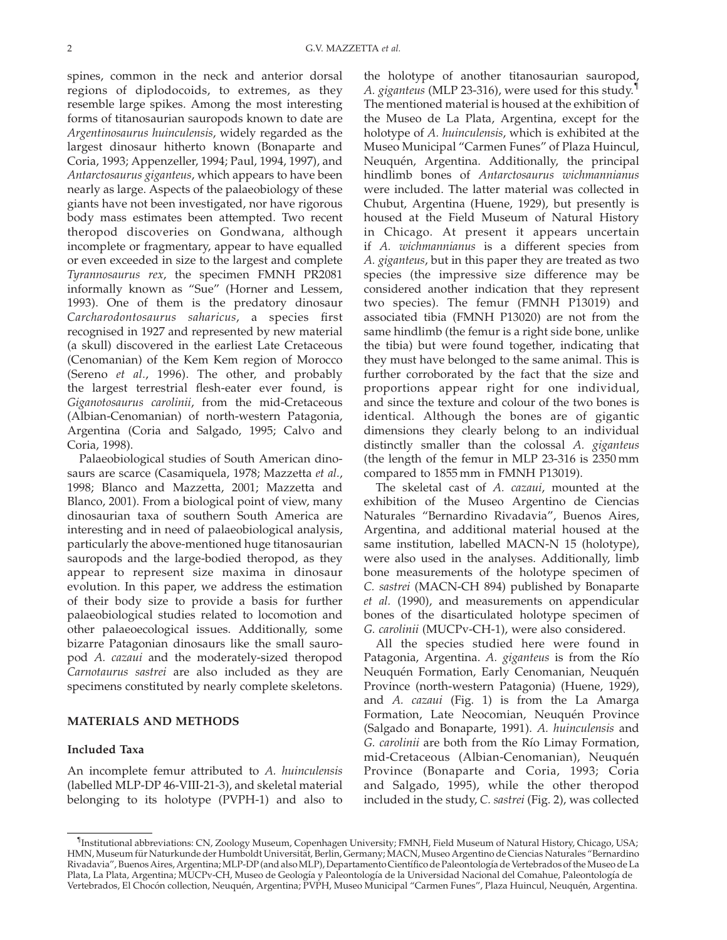spines, common in the neck and anterior dorsal regions of diplodocoids, to extremes, as they resemble large spikes. Among the most interesting forms of titanosaurian sauropods known to date are Argentinosaurus huinculensis, widely regarded as the largest dinosaur hitherto known (Bonaparte and Coria, 1993; Appenzeller, 1994; Paul, 1994, 1997), and Antarctosaurus giganteus, which appears to have been nearly as large. Aspects of the palaeobiology of these giants have not been investigated, nor have rigorous body mass estimates been attempted. Two recent theropod discoveries on Gondwana, although incomplete or fragmentary, appear to have equalled or even exceeded in size to the largest and complete Tyrannosaurus rex, the specimen FMNH PR2081 informally known as "Sue" (Horner and Lessem, 1993). One of them is the predatory dinosaur Carcharodontosaurus saharicus, a species first recognised in 1927 and represented by new material (a skull) discovered in the earliest Late Cretaceous (Cenomanian) of the Kem Kem region of Morocco (Sereno et al., 1996). The other, and probably the largest terrestrial flesh-eater ever found, is Giganotosaurus carolinii, from the mid-Cretaceous (Albian-Cenomanian) of north-western Patagonia, Argentina (Coria and Salgado, 1995; Calvo and Coria, 1998).

Palaeobiological studies of South American dinosaurs are scarce (Casamiquela, 1978; Mazzetta et al., 1998; Blanco and Mazzetta, 2001; Mazzetta and Blanco, 2001). From a biological point of view, many dinosaurian taxa of southern South America are interesting and in need of palaeobiological analysis, particularly the above-mentioned huge titanosaurian sauropods and the large-bodied theropod, as they appear to represent size maxima in dinosaur evolution. In this paper, we address the estimation of their body size to provide a basis for further palaeobiological studies related to locomotion and other palaeoecological issues. Additionally, some bizarre Patagonian dinosaurs like the small sauropod A. cazaui and the moderately-sized theropod Carnotaurus sastrei are also included as they are specimens constituted by nearly complete skeletons.

# MATERIALS AND METHODS

### Included Taxa

An incomplete femur attributed to A. huinculensis (labelled MLP-DP 46-VIII-21-3), and skeletal material belonging to its holotype (PVPH-1) and also to the holotype of another titanosaurian sauropod, A. giganteus (MLP 23-316), were used for this study.<sup>1</sup> The mentioned material is housed at the exhibition of the Museo de La Plata, Argentina, except for the holotype of A. huinculensis, which is exhibited at the Museo Municipal "Carmen Funes" of Plaza Huincul, Neuquén, Argentina. Additionally, the principal hindlimb bones of Antarctosaurus wichmannianus were included. The latter material was collected in Chubut, Argentina (Huene, 1929), but presently is housed at the Field Museum of Natural History in Chicago. At present it appears uncertain if A. wichmannianus is a different species from A. giganteus, but in this paper they are treated as two species (the impressive size difference may be considered another indication that they represent two species). The femur (FMNH P13019) and associated tibia (FMNH P13020) are not from the same hindlimb (the femur is a right side bone, unlike the tibia) but were found together, indicating that they must have belonged to the same animal. This is further corroborated by the fact that the size and proportions appear right for one individual, and since the texture and colour of the two bones is identical. Although the bones are of gigantic dimensions they clearly belong to an individual distinctly smaller than the colossal A. giganteus (the length of the femur in MLP 23-316 is 2350 mm compared to 1855 mm in FMNH P13019).

The skeletal cast of A. cazaui, mounted at the exhibition of the Museo Argentino de Ciencias Naturales "Bernardino Rivadavia", Buenos Aires, Argentina, and additional material housed at the same institution, labelled MACN-N 15 (holotype), were also used in the analyses. Additionally, limb bone measurements of the holotype specimen of C. sastrei (MACN-CH 894) published by Bonaparte et al. (1990), and measurements on appendicular bones of the disarticulated holotype specimen of G. carolinii (MUCPv-CH-1), were also considered.

All the species studied here were found in Patagonia, Argentina. A. giganteus is from the Río Neuquén Formation, Early Cenomanian, Neuquén Province (north-western Patagonia) (Huene, 1929), and A. cazaui (Fig. 1) is from the La Amarga Formation, Late Neocomian, Neuquén Province (Salgado and Bonaparte, 1991). A. huinculensis and G. carolinii are both from the Río Limay Formation, mid-Cretaceous (Albian-Cenomanian), Neuquén Province (Bonaparte and Coria, 1993; Coria and Salgado, 1995), while the other theropod included in the study, C. sastrei (Fig. 2), was collected

<sup>&</sup>lt;sup>1</sup>Institutional abbreviations: CN, Zoology Museum, Copenhagen University; FMNH, Field Museum of Natural History, Chicago, USA; HMN, Museum für Naturkunde der Humboldt Universität, Berlin, Germany; MACN, Museo Argentino de Ciencias Naturales "Bernardino Rivadavia", Buenos Aires, Argentina; MLP-DP (and also MLP), Departamento Científico de Paleontología de Vertebrados of the Museo de La Plata, La Plata, Argentina; MUCPv-CH, Museo de Geología y Paleontología de la Universidad Nacional del Comahue, Paleontología de Vertebrados, El Chocón collection, Neuquén, Argentina; PVPH, Museo Municipal "Carmen Funes", Plaza Huincul, Neuquén, Argentina.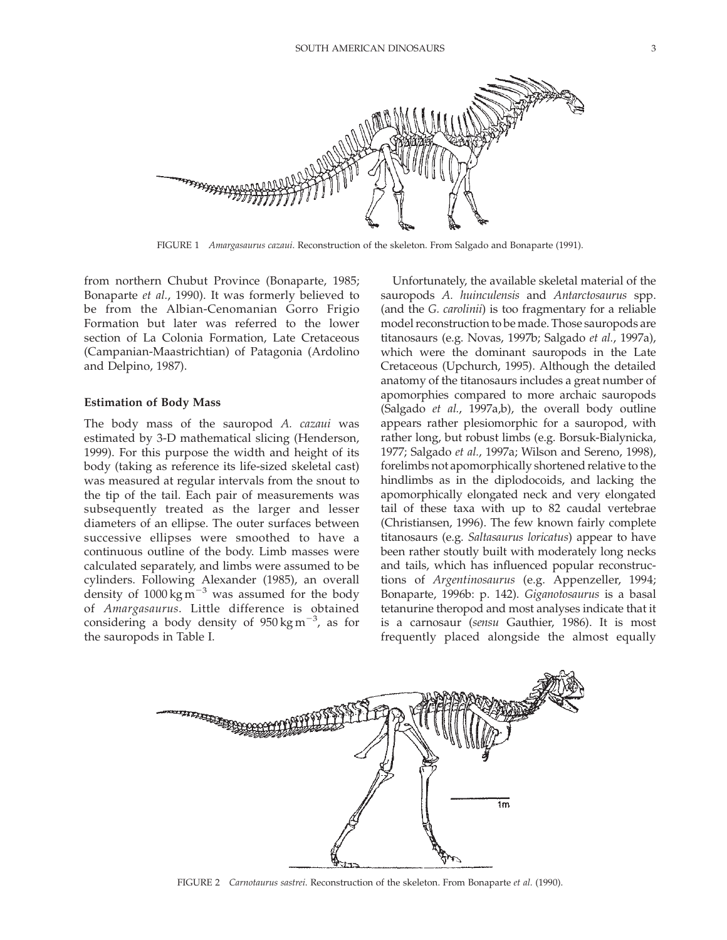

FIGURE 1 Amargasaurus cazaui. Reconstruction of the skeleton. From Salgado and Bonaparte (1991).

from northern Chubut Province (Bonaparte, 1985; Bonaparte et al., 1990). It was formerly believed to be from the Albian-Cenomanian Gorro Frigio Formation but later was referred to the lower section of La Colonia Formation, Late Cretaceous (Campanian-Maastrichtian) of Patagonia (Ardolino and Delpino, 1987).

#### Estimation of Body Mass

The body mass of the sauropod A. cazaui was estimated by 3-D mathematical slicing (Henderson, 1999). For this purpose the width and height of its body (taking as reference its life-sized skeletal cast) was measured at regular intervals from the snout to the tip of the tail. Each pair of measurements was subsequently treated as the larger and lesser diameters of an ellipse. The outer surfaces between successive ellipses were smoothed to have a continuous outline of the body. Limb masses were calculated separately, and limbs were assumed to be cylinders. Following Alexander (1985), an overall density of  $1000 \text{ kg m}^{-3}$  was assumed for the body of Amargasaurus. Little difference is obtained considering a body density of  $950 \text{ kg m}^{-3}$ , as for the sauropods in Table I.

Unfortunately, the available skeletal material of the sauropods A. huinculensis and Antarctosaurus spp. (and the G. carolinii) is too fragmentary for a reliable model reconstruction to be made. Those sauropods are titanosaurs (e.g. Novas, 1997b; Salgado et al., 1997a), which were the dominant sauropods in the Late Cretaceous (Upchurch, 1995). Although the detailed anatomy of the titanosaurs includes a great number of apomorphies compared to more archaic sauropods (Salgado et al., 1997a,b), the overall body outline appears rather plesiomorphic for a sauropod, with rather long, but robust limbs (e.g. Borsuk-Bialynicka, 1977; Salgado et al., 1997a; Wilson and Sereno, 1998), forelimbs not apomorphically shortened relative to the hindlimbs as in the diplodocoids, and lacking the apomorphically elongated neck and very elongated tail of these taxa with up to 82 caudal vertebrae (Christiansen, 1996). The few known fairly complete titanosaurs (e.g. Saltasaurus loricatus) appear to have been rather stoutly built with moderately long necks and tails, which has influenced popular reconstructions of Argentinosaurus (e.g. Appenzeller, 1994; Bonaparte, 1996b: p. 142). Giganotosaurus is a basal tetanurine theropod and most analyses indicate that it is a carnosaur (sensu Gauthier, 1986). It is most frequently placed alongside the almost equally



FIGURE 2 Carnotaurus sastrei. Reconstruction of the skeleton. From Bonaparte et al. (1990).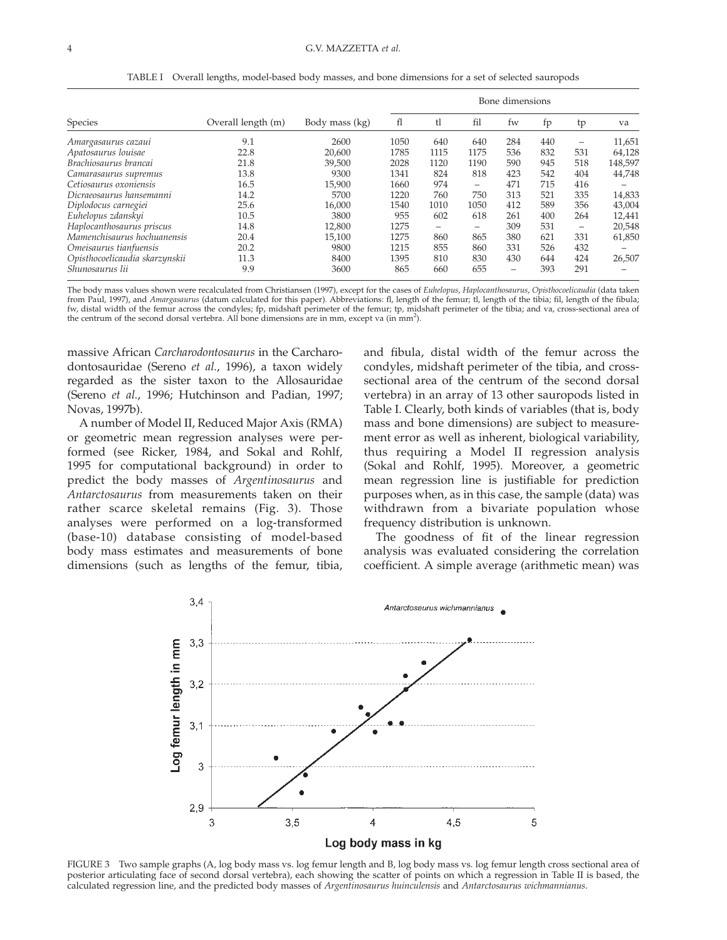|                                | Overall length (m) | Body mass (kg) | Bone dimensions |      |      |                 |     |                          |         |
|--------------------------------|--------------------|----------------|-----------------|------|------|-----------------|-----|--------------------------|---------|
| Species                        |                    |                | fl              | tl   | fil  | fw              | fp  | tp                       | va      |
| Amargasaurus cazauı            | 9.1                | 2600           | 1050            | 640  | 640  | 284             | 440 | $\overline{\phantom{0}}$ | 11,651  |
| Apatosaurus louisae            | 22.8               | 20,600         | 1785            | 1115 | 1175 | 536             | 832 | 531                      | 64,128  |
| Brachiosaurus brancai          | 21.8               | 39,500         | 2028            | 1120 | 1190 | 590             | 945 | 518                      | 148,597 |
| Camarasaurus supremus          | 13.8               | 9300           | 1341            | 824  | 818  | 423             | 542 | 404                      | 44,748  |
| Cetiosaurus oxoniensis         | 16.5               | 15,900         | 1660            | 974  | -    | 471             | 715 | 416                      |         |
| Dicraeosaurus hansemanni       | 14.2               | 5700           | 1220            | 760  | 750  | 313             | 521 | 335                      | 14,833  |
| Diplodocus carnegiei           | 25.6               | 16,000         | 1540            | 1010 | 1050 | 412             | 589 | 356                      | 43,004  |
| Euhelopus zdanskyi             | 10.5               | 3800           | 955             | 602  | 618  | 261             | 400 | 264                      | 12,441  |
| Haplocanthosaurus priscus      | 14.8               | 12,800         | 1275            |      | -    | 309             | 531 | -                        | 20,548  |
| Mamenchisaurus hochuanensis    | 20.4               | 15,100         | 1275            | 860  | 865  | 380             | 621 | 331                      | 61,850  |
| Omeisaurus tianfuensis         | 20.2               | 9800           | 1215            | 855  | 860  | 331             | 526 | 432                      |         |
| Opisthocoelicaudia skarzynskii | 11.3               | 8400           | 1395            | 810  | 830  | 430             | 644 | 424                      | 26,507  |
| Shunosaurus lii                | 9.9                | 3600           | 865             | 660  | 655  | $\qquad \qquad$ | 393 | 291                      |         |

TABLE I Overall lengths, model-based body masses, and bone dimensions for a set of selected sauropods

The body mass values shown were recalculated from Christiansen (1997), except for the cases of Euhelopus, Haplocanthosaurus, Opisthocoelicaudia (data taken from Paul, 1997), and Amargasaurus (datum calculated for this paper). Abbreviations: fl, length of the femur; tl, length of the tibia; fil, length of the fibula; fw, distal width of the femur across the condyles; fp, midshaft perimeter of the femur; tp, midshaft perimeter of the tibia; and va, cross-sectional area of the centrum of the second dorsal vertebra. All bone dimensions are in mm, except va (in mm<sup>2</sup>).

massive African Carcharodontosaurus in the Carcharodontosauridae (Sereno et al., 1996), a taxon widely regarded as the sister taxon to the Allosauridae (Sereno et al., 1996; Hutchinson and Padian, 1997; Novas, 1997b).

A number of Model II, Reduced Major Axis (RMA) or geometric mean regression analyses were performed (see Ricker, 1984, and Sokal and Rohlf, 1995 for computational background) in order to predict the body masses of Argentinosaurus and Antarctosaurus from measurements taken on their rather scarce skeletal remains (Fig. 3). Those analyses were performed on a log-transformed (base-10) database consisting of model-based body mass estimates and measurements of bone dimensions (such as lengths of the femur, tibia, and fibula, distal width of the femur across the condyles, midshaft perimeter of the tibia, and crosssectional area of the centrum of the second dorsal vertebra) in an array of 13 other sauropods listed in Table I. Clearly, both kinds of variables (that is, body mass and bone dimensions) are subject to measurement error as well as inherent, biological variability, thus requiring a Model II regression analysis (Sokal and Rohlf, 1995). Moreover, a geometric mean regression line is justifiable for prediction purposes when, as in this case, the sample (data) was withdrawn from a bivariate population whose frequency distribution is unknown.

The goodness of fit of the linear regression analysis was evaluated considering the correlation coefficient. A simple average (arithmetic mean) was



FIGURE 3 Two sample graphs (A, log body mass vs. log femur length and B, log body mass vs. log femur length cross sectional area of posterior articulating face of second dorsal vertebra), each showing the scatter of points on which a regression in Table II is based, the calculated regression line, and the predicted body masses of Argentinosaurus huinculensis and Antarctosaurus wichmannianus.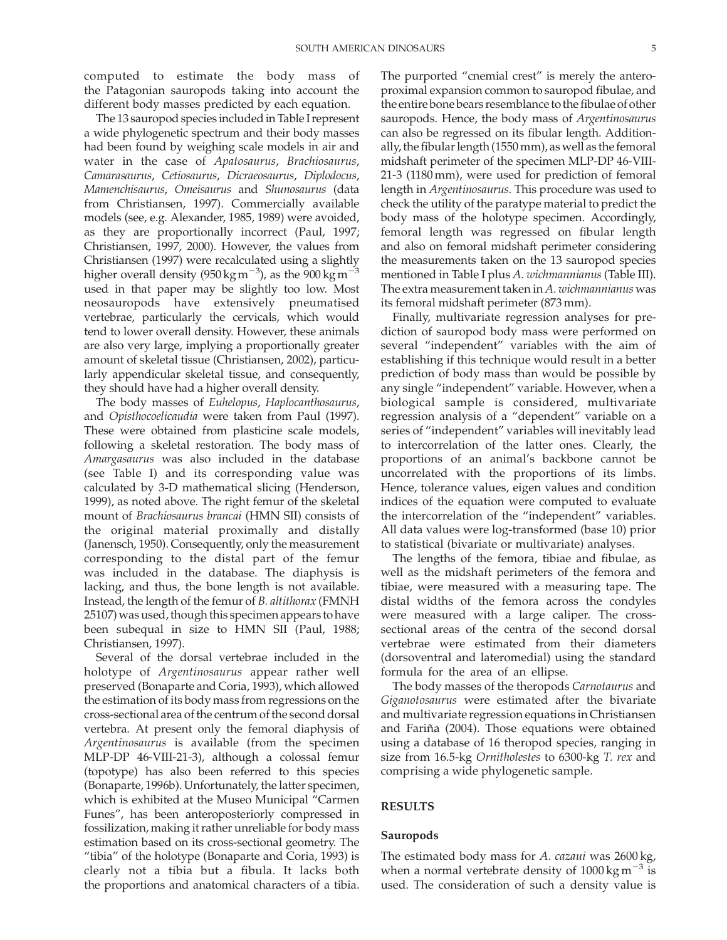computed to estimate the body mass of the Patagonian sauropods taking into account the different body masses predicted by each equation.

The 13 sauropod species included in Table I represent a wide phylogenetic spectrum and their body masses had been found by weighing scale models in air and water in the case of Apatosaurus, Brachiosaurus, Camarasaurus, Cetiosaurus, Dicraeosaurus, Diplodocus, Mamenchisaurus, Omeisaurus and Shunosaurus (data from Christiansen, 1997). Commercially available models (see, e.g. Alexander, 1985, 1989) were avoided, as they are proportionally incorrect (Paul, 1997; Christiansen, 1997, 2000). However, the values from Christiansen (1997) were recalculated using a slightly higher overall density (950 kg m $^{-3}$ ), as the 900 kg m $^{-3}$ used in that paper may be slightly too low. Most neosauropods have extensively pneumatised vertebrae, particularly the cervicals, which would tend to lower overall density. However, these animals are also very large, implying a proportionally greater amount of skeletal tissue (Christiansen, 2002), particularly appendicular skeletal tissue, and consequently, they should have had a higher overall density.

The body masses of Euhelopus, Haplocanthosaurus, and Opisthocoelicaudia were taken from Paul (1997). These were obtained from plasticine scale models, following a skeletal restoration. The body mass of Amargasaurus was also included in the database (see Table I) and its corresponding value was calculated by 3-D mathematical slicing (Henderson, 1999), as noted above. The right femur of the skeletal mount of Brachiosaurus brancai (HMN SII) consists of the original material proximally and distally (Janensch, 1950). Consequently, only the measurement corresponding to the distal part of the femur was included in the database. The diaphysis is lacking, and thus, the bone length is not available. Instead, the length of the femur of B. altithorax (FMNH 25107) was used, though this specimen appears to have been subequal in size to HMN SII (Paul, 1988; Christiansen, 1997).

Several of the dorsal vertebrae included in the holotype of Argentinosaurus appear rather well preserved (Bonaparte and Coria, 1993), which allowed the estimation of its body mass from regressions on the cross-sectional area of the centrum of the second dorsal vertebra. At present only the femoral diaphysis of Argentinosaurus is available (from the specimen MLP-DP 46-VIII-21-3), although a colossal femur (topotype) has also been referred to this species (Bonaparte, 1996b). Unfortunately, the latter specimen, which is exhibited at the Museo Municipal "Carmen Funes", has been anteroposteriorly compressed in fossilization, making it rather unreliable for body mass estimation based on its cross-sectional geometry. The "tibia" of the holotype (Bonaparte and Coria, 1993) is clearly not a tibia but a fibula. It lacks both the proportions and anatomical characters of a tibia. The purported "cnemial crest" is merely the anteroproximal expansion common to sauropod fibulae, and the entire bone bears resemblance to the fibulae of other sauropods. Hence, the body mass of Argentinosaurus can also be regressed on its fibular length. Additionally, the fibular length (1550 mm), as well as the femoral midshaft perimeter of the specimen MLP-DP 46-VIII-21-3 (1180 mm), were used for prediction of femoral length in Argentinosaurus. This procedure was used to check the utility of the paratype material to predict the body mass of the holotype specimen. Accordingly, femoral length was regressed on fibular length and also on femoral midshaft perimeter considering the measurements taken on the 13 sauropod species mentioned in Table I plus A. wichmannianus (Table III). The extra measurement taken in  $A$ . wich mannianus was its femoral midshaft perimeter (873 mm).

Finally, multivariate regression analyses for prediction of sauropod body mass were performed on several "independent" variables with the aim of establishing if this technique would result in a better prediction of body mass than would be possible by any single "independent" variable. However, when a biological sample is considered, multivariate regression analysis of a "dependent" variable on a series of "independent" variables will inevitably lead to intercorrelation of the latter ones. Clearly, the proportions of an animal's backbone cannot be uncorrelated with the proportions of its limbs. Hence, tolerance values, eigen values and condition indices of the equation were computed to evaluate the intercorrelation of the "independent" variables. All data values were log-transformed (base 10) prior to statistical (bivariate or multivariate) analyses.

The lengths of the femora, tibiae and fibulae, as well as the midshaft perimeters of the femora and tibiae, were measured with a measuring tape. The distal widths of the femora across the condyles were measured with a large caliper. The crosssectional areas of the centra of the second dorsal vertebrae were estimated from their diameters (dorsoventral and lateromedial) using the standard formula for the area of an ellipse.

The body masses of the theropods Carnotaurus and Giganotosaurus were estimated after the bivariate and multivariate regression equations in Christiansen and Fariña (2004). Those equations were obtained using a database of 16 theropod species, ranging in size from 16.5-kg Ornitholestes to 6300-kg T. rex and comprising a wide phylogenetic sample.

# RESULTS

#### Sauropods

The estimated body mass for A. cazaui was 2600 kg, when a normal vertebrate density of  $1000 \text{ kg m}^{-3}$  is used. The consideration of such a density value is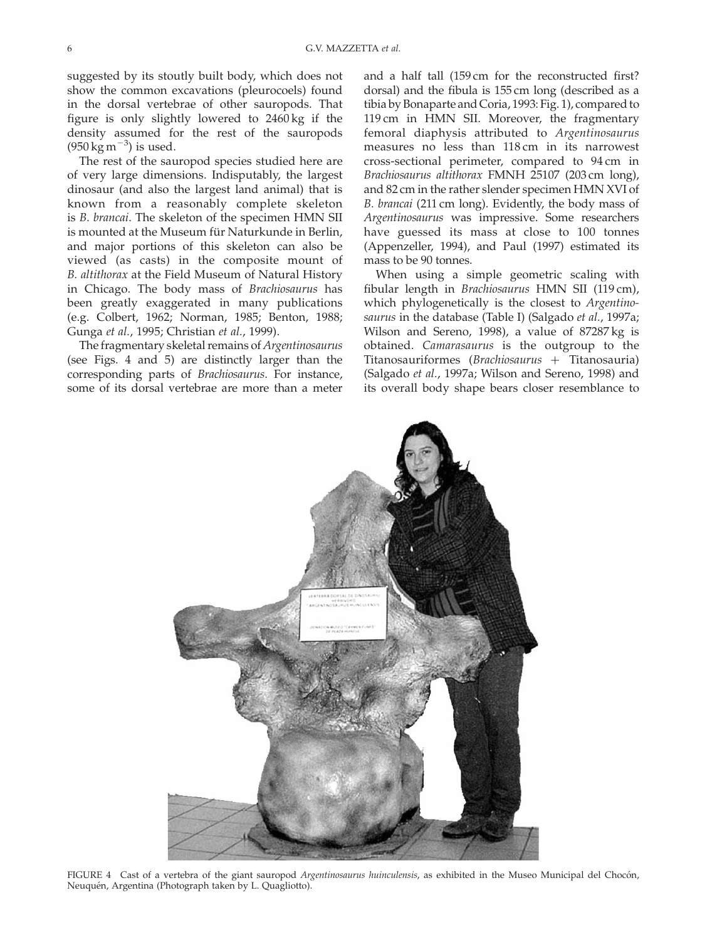suggested by its stoutly built body, which does not show the common excavations (pleurocoels) found in the dorsal vertebrae of other sauropods. That figure is only slightly lowered to 2460 kg if the density assumed for the rest of the sauropods  $(950 \,\mathrm{kg}\,\mathrm{m}^{-3})$  is used.

The rest of the sauropod species studied here are of very large dimensions. Indisputably, the largest dinosaur (and also the largest land animal) that is known from a reasonably complete skeleton is B. brancai. The skeleton of the specimen HMN SII is mounted at the Museum für Naturkunde in Berlin, and major portions of this skeleton can also be viewed (as casts) in the composite mount of B. altithorax at the Field Museum of Natural History in Chicago. The body mass of Brachiosaurus has been greatly exaggerated in many publications (e.g. Colbert, 1962; Norman, 1985; Benton, 1988; Gunga et al., 1995; Christian et al., 1999).

The fragmentary skeletal remains of Argentinosaurus (see Figs. 4 and 5) are distinctly larger than the corresponding parts of Brachiosaurus. For instance, some of its dorsal vertebrae are more than a meter and a half tall (159 cm for the reconstructed first? dorsal) and the fibula is 155 cm long (described as a tibia by Bonaparte and Coria, 1993: Fig. 1), compared to 119 cm in HMN SII. Moreover, the fragmentary femoral diaphysis attributed to Argentinosaurus measures no less than 118 cm in its narrowest cross-sectional perimeter, compared to 94 cm in Brachiosaurus altithorax FMNH 25107 (203 cm long), and 82 cm in the rather slender specimen HMN XVI of B. brancai (211 cm long). Evidently, the body mass of Argentinosaurus was impressive. Some researchers have guessed its mass at close to 100 tonnes (Appenzeller, 1994), and Paul (1997) estimated its mass to be 90 tonnes.

When using a simple geometric scaling with fibular length in Brachiosaurus HMN SII (119 cm), which phylogenetically is the closest to *Argentino*saurus in the database (Table I) (Salgado et al., 1997a; Wilson and Sereno, 1998), a value of 87287 kg is obtained. Camarasaurus is the outgroup to the Titanosauriformes (Brachiosaurus  $+$  Titanosauria) (Salgado et al., 1997a; Wilson and Sereno, 1998) and its overall body shape bears closer resemblance to



FIGURE 4 Cast of a vertebra of the giant sauropod Argentinosaurus huinculensis, as exhibited in the Museo Municipal del Chocón, Neuquén, Argentina (Photograph taken by L. Quagliotto).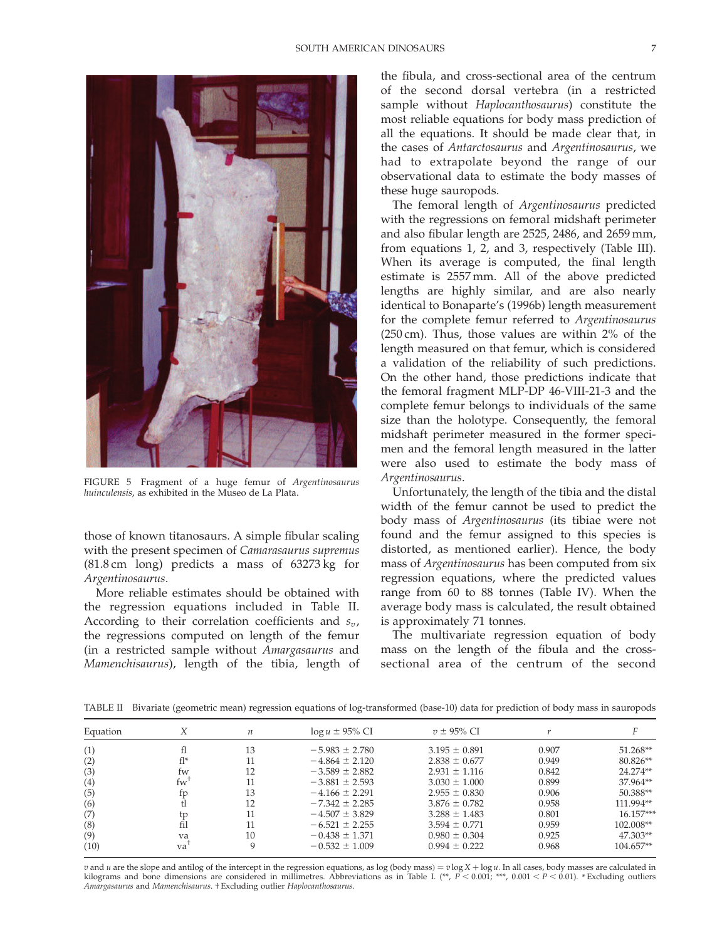

FIGURE 5 Fragment of a huge femur of Argentinosaurus huinculensis, as exhibited in the Museo de La Plata.

those of known titanosaurs. A simple fibular scaling with the present specimen of Camarasaurus supremus (81.8 cm long) predicts a mass of 63273 kg for Argentinosaurus.

More reliable estimates should be obtained with the regression equations included in Table II. According to their correlation coefficients and  $s_v$ , the regressions computed on length of the femur (in a restricted sample without Amargasaurus and Mamenchisaurus), length of the tibia, length of

the fibula, and cross-sectional area of the centrum of the second dorsal vertebra (in a restricted sample without Haplocanthosaurus) constitute the most reliable equations for body mass prediction of all the equations. It should be made clear that, in the cases of Antarctosaurus and Argentinosaurus, we had to extrapolate beyond the range of our observational data to estimate the body masses of these huge sauropods.

The femoral length of Argentinosaurus predicted with the regressions on femoral midshaft perimeter and also fibular length are 2525, 2486, and 2659 mm, from equations 1, 2, and 3, respectively (Table III). When its average is computed, the final length estimate is 2557 mm. All of the above predicted lengths are highly similar, and are also nearly identical to Bonaparte's (1996b) length measurement for the complete femur referred to Argentinosaurus (250 cm). Thus, those values are within 2% of the length measured on that femur, which is considered a validation of the reliability of such predictions. On the other hand, those predictions indicate that the femoral fragment MLP-DP 46-VIII-21-3 and the complete femur belongs to individuals of the same size than the holotype. Consequently, the femoral midshaft perimeter measured in the former specimen and the femoral length measured in the latter were also used to estimate the body mass of Argentinosaurus.

Unfortunately, the length of the tibia and the distal width of the femur cannot be used to predict the body mass of Argentinosaurus (its tibiae were not found and the femur assigned to this species is distorted, as mentioned earlier). Hence, the body mass of Argentinosaurus has been computed from six regression equations, where the predicted values range from 60 to 88 tonnes (Table IV). When the average body mass is calculated, the result obtained is approximately 71 tonnes.

The multivariate regression equation of body mass on the length of the fibula and the crosssectional area of the centrum of the second

TABLE II Bivariate (geometric mean) regression equations of log-transformed (base-10) data for prediction of body mass in sauropods

| Equation |                      | $\boldsymbol{n}$ | $\log u \pm 95\%$ CI | $v \pm 95\%$ CI   |       |             |
|----------|----------------------|------------------|----------------------|-------------------|-------|-------------|
| (1)      |                      | 13               | $-5.983 \pm 2.780$   | $3.195 \pm 0.891$ | 0.907 | $51.268**$  |
| (2)      | fl*                  |                  | $-4.864 \pm 2.120$   | $2.838 \pm 0.677$ | 0.949 | $80.826**$  |
| (3)      | fw                   | 12               | $-3.589 + 2.882$     | $2.931 \pm 1.116$ | 0.842 | 24.274**    |
| (4)      | $f_{W}$ <sup>1</sup> |                  | $-3.881 \pm 2.593$   | $3.030 \pm 1.000$ | 0.899 | 37.964**    |
| (5)      | tp                   | 13               | $-4.166 \pm 2.291$   | $2.955 \pm 0.830$ | 0.906 | 50.388**    |
| (6)      |                      | 12               | $-7.342 \pm 2.285$   | $3.876 \pm 0.782$ | 0.958 | 111.994**   |
| (7)      | tp                   |                  | $-4.507 \pm 3.829$   | $3.288 \pm 1.483$ | 0.801 | $16.157***$ |
| (8)      | fil                  |                  | $-6.521 \pm 2.255$   | $3.594 \pm 0.771$ | 0.959 | 102.008**   |
| (9)      | va                   | 10               | $-0.438 \pm 1.371$   | $0.980 \pm 0.304$ | 0.925 | $47.303**$  |
| (10)     | va                   | Q                | $-0.532 \pm 1.009$   | $0.994 \pm 0.222$ | 0.968 | $104.657**$ |

v and u are the slope and antilog of the intercept in the regression equations, as log (body mass) =  $v \log X + \log u$ . In all cases, body masses are calculated in kilograms and bone dimensions are considered in millimetres. Abbreviations as in Table I. (\*\*,  $P < 0.001$ ; \*\*\*,  $0.001 < P < 0.01$ ). \*Excluding outliers Amargasaurus and Mamenchisaurus. † Excluding outlier Haplocanthosaurus.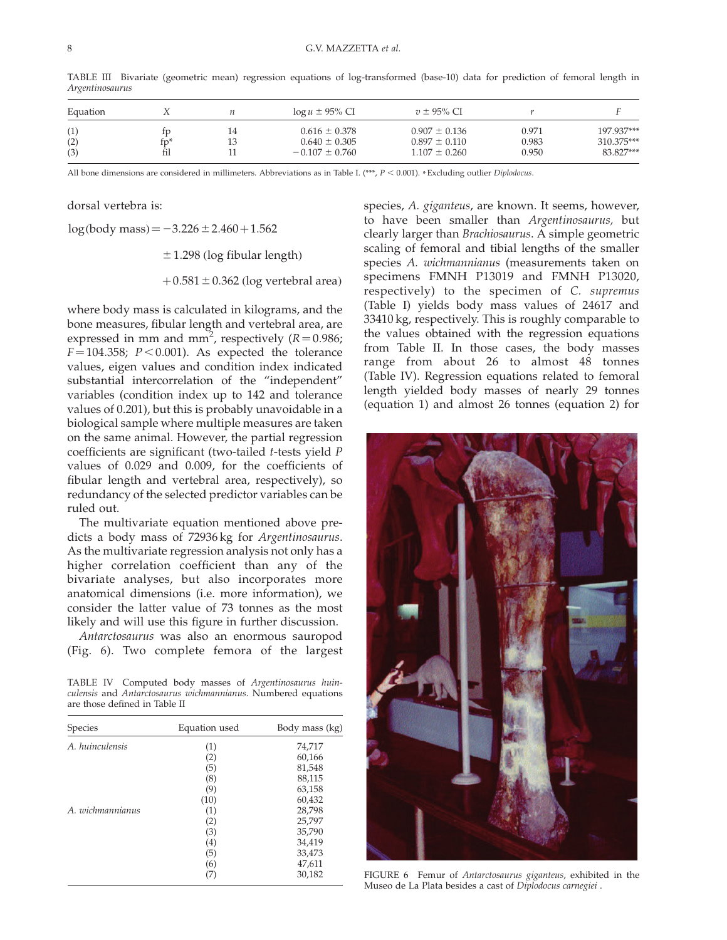| Equation          |     |    | $\log u \pm 95\%$ CI                                         | $v \pm 95\%$ CI                                             |                         |                                       |
|-------------------|-----|----|--------------------------------------------------------------|-------------------------------------------------------------|-------------------------|---------------------------------------|
| (1)<br>(2)<br>(3) | tv' | 14 | $0.616 \pm 0.378$<br>$0.640 \pm 0.305$<br>$-0.107 \pm 0.760$ | $0.907 \pm 0.136$<br>$0.897 \pm 0.110$<br>$1.107 \pm 0.260$ | 0.971<br>0.983<br>0.950 | 197.937***<br>310.375***<br>83.827*** |

TABLE III Bivariate (geometric mean) regression equations of log-transformed (base-10) data for prediction of femoral length in Argentinosaurus

All bone dimensions are considered in millimeters. Abbreviations as in Table I. (\*\*\*,  $P < 0.001$ ). \* Excluding outlier Diplodocus.

dorsal vertebra is:

 $log(body mass) = -3.226 \pm 2.460 + 1.562$ 

 $\pm$ 1.298 (log fibular length)

+ $0.581 \pm 0.362$  (log vertebral area)

where body mass is calculated in kilograms, and the bone measures, fibular length and vertebral area, are expressed in mm and mm<sup>2</sup>, respectively ( $R = 0.986$ ;  $F = 104.358$ ;  $P < 0.001$ ). As expected the tolerance values, eigen values and condition index indicated substantial intercorrelation of the "independent" variables (condition index up to 142 and tolerance values of 0.201), but this is probably unavoidable in a biological sample where multiple measures are taken on the same animal. However, the partial regression coefficients are significant (two-tailed t-tests yield P values of 0.029 and 0.009, for the coefficients of fibular length and vertebral area, respectively), so redundancy of the selected predictor variables can be ruled out.

The multivariate equation mentioned above predicts a body mass of 72936 kg for Argentinosaurus. As the multivariate regression analysis not only has a higher correlation coefficient than any of the bivariate analyses, but also incorporates more anatomical dimensions (i.e. more information), we consider the latter value of 73 tonnes as the most likely and will use this figure in further discussion.

Antarctosaurus was also an enormous sauropod (Fig. 6). Two complete femora of the largest

TABLE IV Computed body masses of Argentinosaurus huinculensis and Antarctosaurus wichmannianus. Numbered equations are those defined in Table II

| Species          | Equation used | Body mass (kg) |
|------------------|---------------|----------------|
| A. huinculensis  | (1)           | 74,717         |
|                  | (2)           | 60,166         |
|                  | (5)           | 81,548         |
|                  | (8)           | 88,115         |
|                  | (9)           | 63,158         |
|                  | (10)          | 60,432         |
| A. wichmannianus | (1)           | 28,798         |
|                  | (2)           | 25,797         |
|                  | (3)           | 35,790         |
|                  | (4)           | 34,419         |
|                  | (5)           | 33,473         |
|                  | (6)           | 47,611         |
|                  |               | 30,182         |

species, A. giganteus, are known. It seems, however, to have been smaller than Argentinosaurus, but clearly larger than Brachiosaurus. A simple geometric scaling of femoral and tibial lengths of the smaller species A. wichmannianus (measurements taken on specimens FMNH P13019 and FMNH P13020, respectively) to the specimen of C. supremus (Table I) yields body mass values of 24617 and 33410 kg, respectively. This is roughly comparable to the values obtained with the regression equations from Table II. In those cases, the body masses range from about 26 to almost 48 tonnes (Table IV). Regression equations related to femoral length yielded body masses of nearly 29 tonnes (equation 1) and almost 26 tonnes (equation 2) for



FIGURE 6 Femur of Antarctosaurus giganteus, exhibited in the Museo de La Plata besides a cast of Diplodocus carnegiei .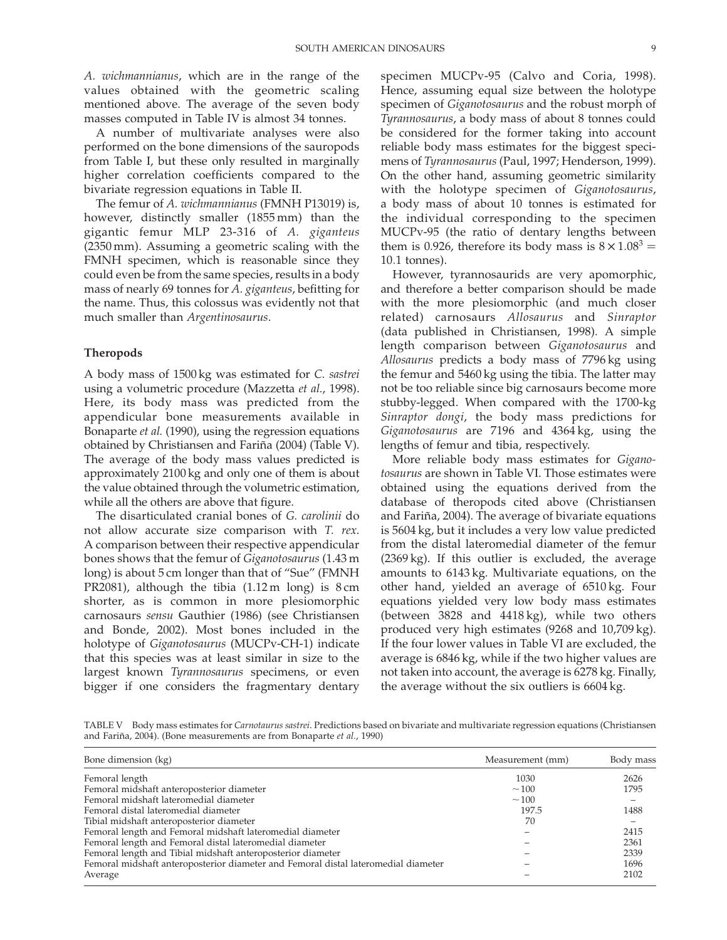A. wichmannianus, which are in the range of the values obtained with the geometric scaling mentioned above. The average of the seven body masses computed in Table IV is almost 34 tonnes.

A number of multivariate analyses were also performed on the bone dimensions of the sauropods from Table I, but these only resulted in marginally higher correlation coefficients compared to the bivariate regression equations in Table II.

The femur of A. wichmannianus (FMNH P13019) is, however, distinctly smaller (1855 mm) than the gigantic femur MLP 23-316 of A. giganteus (2350 mm). Assuming a geometric scaling with the FMNH specimen, which is reasonable since they could even be from the same species, results in a body mass of nearly 69 tonnes for A. giganteus, befitting for the name. Thus, this colossus was evidently not that much smaller than Argentinosaurus.

#### Theropods

A body mass of 1500 kg was estimated for C. sastrei using a volumetric procedure (Mazzetta et al., 1998). Here, its body mass was predicted from the appendicular bone measurements available in Bonaparte et al. (1990), using the regression equations obtained by Christiansen and Fariña (2004) (Table V). The average of the body mass values predicted is approximately 2100 kg and only one of them is about the value obtained through the volumetric estimation, while all the others are above that figure.

The disarticulated cranial bones of G. carolinii do not allow accurate size comparison with T. rex. A comparison between their respective appendicular bones shows that the femur of Giganotosaurus (1.43 m long) is about 5 cm longer than that of "Sue" (FMNH PR2081), although the tibia (1.12 m long) is 8 cm shorter, as is common in more plesiomorphic carnosaurs sensu Gauthier (1986) (see Christiansen and Bonde, 2002). Most bones included in the holotype of Giganotosaurus (MUCPv-CH-1) indicate that this species was at least similar in size to the largest known Tyrannosaurus specimens, or even bigger if one considers the fragmentary dentary specimen MUCPv-95 (Calvo and Coria, 1998). Hence, assuming equal size between the holotype specimen of Giganotosaurus and the robust morph of Tyrannosaurus, a body mass of about 8 tonnes could be considered for the former taking into account reliable body mass estimates for the biggest specimens of Tyrannosaurus (Paul, 1997; Henderson, 1999). On the other hand, assuming geometric similarity with the holotype specimen of Giganotosaurus, a body mass of about 10 tonnes is estimated for the individual corresponding to the specimen MUCPv-95 (the ratio of dentary lengths between them is 0.926, therefore its body mass is  $8 \times 1.08^3 =$ 10:1 tonnes).

However, tyrannosaurids are very apomorphic, and therefore a better comparison should be made with the more plesiomorphic (and much closer related) carnosaurs Allosaurus and Sinraptor (data published in Christiansen, 1998). A simple length comparison between Giganotosaurus and Allosaurus predicts a body mass of 7796 kg using the femur and 5460 kg using the tibia. The latter may not be too reliable since big carnosaurs become more stubby-legged. When compared with the 1700-kg Sinraptor dongi, the body mass predictions for Giganotosaurus are 7196 and 4364 kg, using the lengths of femur and tibia, respectively.

More reliable body mass estimates for Giganotosaurus are shown in Table VI. Those estimates were obtained using the equations derived from the database of theropods cited above (Christiansen and Fariña, 2004). The average of bivariate equations is 5604 kg, but it includes a very low value predicted from the distal lateromedial diameter of the femur (2369 kg). If this outlier is excluded, the average amounts to 6143 kg. Multivariate equations, on the other hand, yielded an average of 6510 kg. Four equations yielded very low body mass estimates (between 3828 and 4418 kg), while two others produced very high estimates (9268 and 10,709 kg). If the four lower values in Table VI are excluded, the average is 6846 kg, while if the two higher values are not taken into account, the average is 6278 kg. Finally, the average without the six outliers is 6604 kg.

TABLE V Body mass estimates for Carnotaurus sastrei. Predictions based on bivariate and multivariate regression equations (Christiansen and Fariña, 2004). (Bone measurements are from Bonaparte et al., 1990)

| Bone dimension (kg)                                                                | Measurement (mm) | Body mass |
|------------------------------------------------------------------------------------|------------------|-----------|
| Femoral length                                                                     | 1030             | 2626      |
| Femoral midshaft anteroposterior diameter                                          | $\sim$ 100       | 1795      |
| Femoral midshaft lateromedial diameter                                             | $\sim$ 100       |           |
| Femoral distal lateromedial diameter                                               | 197.5            | 1488      |
| Tibial midshaft anteroposterior diameter                                           | 70               |           |
| Femoral length and Femoral midshaft lateromedial diameter                          |                  | 2415      |
| Femoral length and Femoral distal lateromedial diameter                            |                  | 2361      |
| Femoral length and Tibial midshaft anteroposterior diameter                        |                  | 2339      |
| Femoral midshaft anteroposterior diameter and Femoral distal lateromedial diameter |                  | 1696      |
| Average                                                                            |                  | 2102      |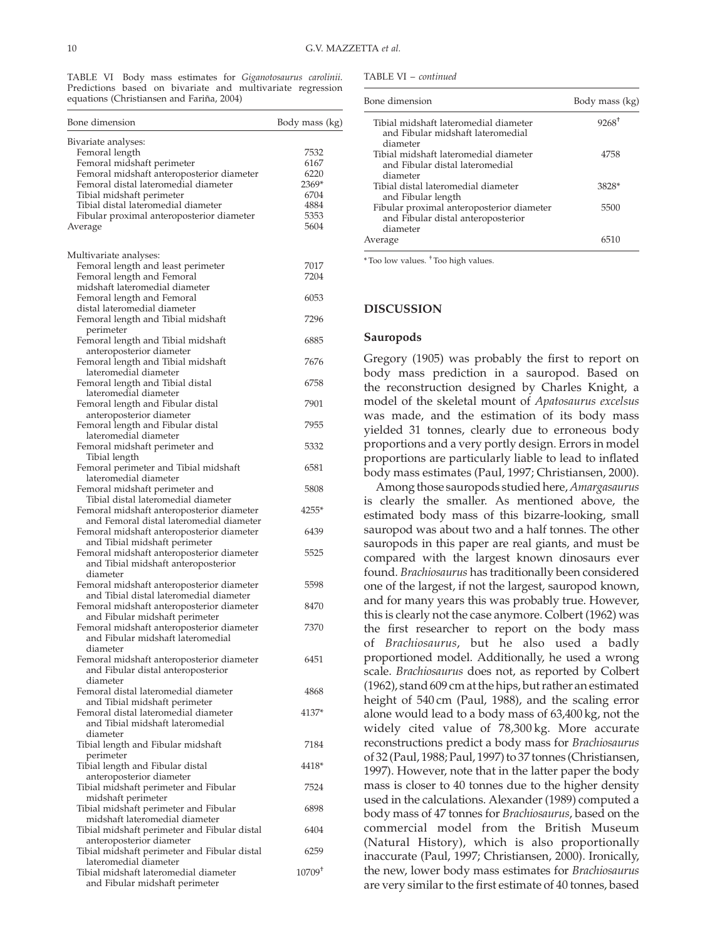TABLE VI Body mass estimates for Giganotosaurus carolinii. Predictions based on bivariate and multivariate regression equations (Christiansen and Fariña, 2004)

| Bone dimension                                                                        | Body mass (kg) |
|---------------------------------------------------------------------------------------|----------------|
| Bivariate analyses:                                                                   |                |
| Femoral length                                                                        | 7532           |
| Femoral midshaft perimeter                                                            | 6167           |
| Femoral midshaft anteroposterior diameter                                             | 6220           |
| Femoral distal lateromedial diameter                                                  | 2369*          |
| Tibial midshaft perimeter                                                             | 6704           |
| Tibial distal lateromedial diameter<br>Fibular proximal anteroposterior diameter      | 4884<br>5353   |
| Average                                                                               | 5604           |
|                                                                                       |                |
| Multivariate analyses:                                                                |                |
| Femoral length and least perimeter                                                    | 7017           |
| Femoral length and Femoral                                                            | 7204           |
| midshaft lateromedial diameter                                                        |                |
| Femoral length and Femoral                                                            | 6053           |
| distal lateromedial diameter                                                          |                |
| Femoral length and Tibial midshaft<br>perimeter                                       | 7296           |
| Femoral length and Tibial midshaft                                                    | 6885           |
| anteroposterior diameter                                                              |                |
| Femoral length and Tibial midshaft                                                    | 7676           |
| lateromedial diameter                                                                 |                |
| Femoral length and Tibial distal                                                      | 6758           |
| lateromedial diameter                                                                 |                |
| Femoral length and Fibular distal                                                     | 7901           |
| anteroposterior diameter<br>Femoral length and Fibular distal                         | 7955           |
| lateromedial diameter                                                                 |                |
| Femoral midshaft perimeter and                                                        | 5332           |
| Tibial length                                                                         |                |
| Femoral perimeter and Tibial midshaft                                                 | 6581           |
| lateromedial diameter                                                                 |                |
| Femoral midshaft perimeter and                                                        | 5808           |
| Tibial distal lateromedial diameter                                                   |                |
| Femoral midshaft anteroposterior diameter<br>and Femoral distal lateromedial diameter | 4255*          |
| Femoral midshaft anteroposterior diameter                                             | 6439           |
| and Tibial midshaft perimeter                                                         |                |
| Femoral midshaft anteroposterior diameter                                             | 5525           |
| and Tibial midshaft anteroposterior                                                   |                |
| diameter                                                                              |                |
| Femoral midshaft anteroposterior diameter                                             | 5598           |
| and Tibial distal lateromedial diameter<br>Femoral midshaft anteroposterior diameter  | 8470           |
| and Fibular midshaft perimeter                                                        |                |
| Femoral midshaft anteroposterior diameter                                             | 7370           |
| and Fibular midshaft lateromedial                                                     |                |
| diameter                                                                              |                |
| Femoral midshaft anteroposterior diameter                                             | 6451           |
| and Fibular distal anteroposterior                                                    |                |
| diameter                                                                              |                |
| Femoral distal lateromedial diameter                                                  | 4868           |
| and Tibial midshaft perimeter<br>Femoral distal lateromedial diameter                 | 4137*          |
| and Tibial midshaft lateromedial                                                      |                |
| diameter                                                                              |                |
| Tibial length and Fibular midshaft                                                    | 7184           |
| perimeter                                                                             |                |
| Tibial length and Fibular distal                                                      | 4418*          |
| anteroposterior diameter                                                              |                |
| Tibial midshaft perimeter and Fibular<br>midshaft perimeter                           | 7524           |
| Tibial midshaft perimeter and Fibular                                                 | 6898           |
| midshaft lateromedial diameter                                                        |                |
| Tibial midshaft perimeter and Fibular distal                                          | 6404           |
| anteroposterior diameter                                                              |                |
| Tibial midshaft perimeter and Fibular distal                                          | 6259           |
| lateromedial diameter                                                                 |                |
| Tibial midshaft lateromedial diameter                                                 | $10709+$       |
| and Fibular midshaft perimeter                                                        |                |

| TABLE VI – continued |  |
|----------------------|--|
|----------------------|--|

| Bone dimension                                                                              | Body mass (kg) |  |
|---------------------------------------------------------------------------------------------|----------------|--|
| Tibial midshaft lateromedial diameter<br>and Fibular midshaft lateromedial<br>diameter      | $9268^+$       |  |
| Tibial midshaft lateromedial diameter<br>and Fibular distal lateromedial<br>diameter        | 4758           |  |
| Tibial distal lateromedial diameter<br>and Fibular length                                   | 3828*          |  |
| Fibular proximal anteroposterior diameter<br>and Fibular distal anteroposterior<br>diameter | 5500           |  |
| Average                                                                                     |                |  |

\* Too low values. † Too high values.

#### DISCUSSION

#### Sauropods

Gregory (1905) was probably the first to report on body mass prediction in a sauropod. Based on the reconstruction designed by Charles Knight, a model of the skeletal mount of Apatosaurus excelsus was made, and the estimation of its body mass yielded 31 tonnes, clearly due to erroneous body proportions and a very portly design. Errors in model proportions are particularly liable to lead to inflated body mass estimates (Paul, 1997; Christiansen, 2000).

Among those sauropods studied here, Amargasaurus is clearly the smaller. As mentioned above, the estimated body mass of this bizarre-looking, small sauropod was about two and a half tonnes. The other sauropods in this paper are real giants, and must be compared with the largest known dinosaurs ever found. Brachiosaurus has traditionally been considered one of the largest, if not the largest, sauropod known, and for many years this was probably true. However, this is clearly not the case anymore. Colbert (1962) was the first researcher to report on the body mass of Brachiosaurus, but he also used a badly proportioned model. Additionally, he used a wrong scale. Brachiosaurus does not, as reported by Colbert (1962), stand 609 cm at the hips, but rather an estimated height of 540 cm (Paul, 1988), and the scaling error alone would lead to a body mass of 63,400 kg, not the widely cited value of 78,300 kg. More accurate reconstructions predict a body mass for Brachiosaurus of 32 (Paul, 1988; Paul, 1997) to 37 tonnes (Christiansen, 1997). However, note that in the latter paper the body mass is closer to 40 tonnes due to the higher density used in the calculations. Alexander (1989) computed a body mass of 47 tonnes for Brachiosaurus, based on the commercial model from the British Museum (Natural History), which is also proportionally inaccurate (Paul, 1997; Christiansen, 2000). Ironically, the new, lower body mass estimates for Brachiosaurus are very similar to the first estimate of 40 tonnes, based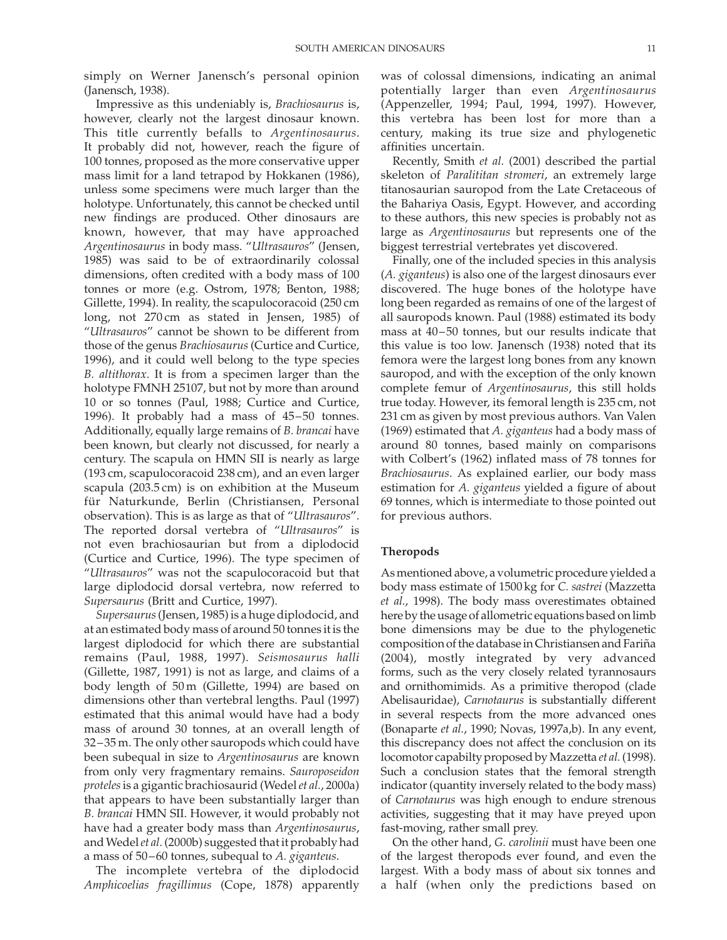simply on Werner Janensch's personal opinion (Janensch, 1938).

Impressive as this undeniably is, Brachiosaurus is, however, clearly not the largest dinosaur known. This title currently befalls to Argentinosaurus. It probably did not, however, reach the figure of 100 tonnes, proposed as the more conservative upper mass limit for a land tetrapod by Hokkanen (1986), unless some specimens were much larger than the holotype. Unfortunately, this cannot be checked until new findings are produced. Other dinosaurs are known, however, that may have approached Argentinosaurus in body mass. "Ultrasauros" (Jensen, 1985) was said to be of extraordinarily colossal dimensions, often credited with a body mass of 100 tonnes or more (e.g. Ostrom, 1978; Benton, 1988; Gillette, 1994). In reality, the scapulocoracoid (250 cm long, not 270 cm as stated in Jensen, 1985) of "Ultrasauros" cannot be shown to be different from those of the genus Brachiosaurus (Curtice and Curtice, 1996), and it could well belong to the type species B. altithorax. It is from a specimen larger than the holotype FMNH 25107, but not by more than around 10 or so tonnes (Paul, 1988; Curtice and Curtice, 1996). It probably had a mass of 45–50 tonnes. Additionally, equally large remains of B. brancai have been known, but clearly not discussed, for nearly a century. The scapula on HMN SII is nearly as large (193 cm, scapulocoracoid 238 cm), and an even larger scapula (203.5 cm) is on exhibition at the Museum für Naturkunde, Berlin (Christiansen, Personal observation). This is as large as that of "Ultrasauros". The reported dorsal vertebra of "Ultrasauros" is not even brachiosaurian but from a diplodocid (Curtice and Curtice, 1996). The type specimen of "Ultrasauros" was not the scapulocoracoid but that large diplodocid dorsal vertebra, now referred to Supersaurus (Britt and Curtice, 1997).

Supersaurus(Jensen, 1985) is a huge diplodocid, and at an estimated body mass of around 50 tonnes it is the largest diplodocid for which there are substantial remains (Paul, 1988, 1997). Seismosaurus halli (Gillette, 1987, 1991) is not as large, and claims of a body length of 50 m (Gillette, 1994) are based on dimensions other than vertebral lengths. Paul (1997) estimated that this animal would have had a body mass of around 30 tonnes, at an overall length of 32–35 m. The only other sauropods which could have been subequal in size to Argentinosaurus are known from only very fragmentary remains. Sauroposeidon proteles is a gigantic brachiosaurid (Wedel et al., 2000a) that appears to have been substantially larger than B. brancai HMN SII. However, it would probably not have had a greater body mass than Argentinosaurus, and Wedel et al. (2000b) suggested that it probably had a mass of 50–60 tonnes, subequal to A. giganteus.

The incomplete vertebra of the diplodocid Amphicoelias fragillimus (Cope, 1878) apparently was of colossal dimensions, indicating an animal potentially larger than even Argentinosaurus (Appenzeller, 1994; Paul, 1994, 1997). However, this vertebra has been lost for more than a century, making its true size and phylogenetic affinities uncertain.

Recently, Smith et al. (2001) described the partial skeleton of Paralititan stromeri, an extremely large titanosaurian sauropod from the Late Cretaceous of the Bahariya Oasis, Egypt. However, and according to these authors, this new species is probably not as large as Argentinosaurus but represents one of the biggest terrestrial vertebrates yet discovered.

Finally, one of the included species in this analysis (A. giganteus) is also one of the largest dinosaurs ever discovered. The huge bones of the holotype have long been regarded as remains of one of the largest of all sauropods known. Paul (1988) estimated its body mass at 40–50 tonnes, but our results indicate that this value is too low. Janensch (1938) noted that its femora were the largest long bones from any known sauropod, and with the exception of the only known complete femur of Argentinosaurus, this still holds true today. However, its femoral length is 235 cm, not 231 cm as given by most previous authors. Van Valen (1969) estimated that A. giganteus had a body mass of around 80 tonnes, based mainly on comparisons with Colbert's (1962) inflated mass of 78 tonnes for Brachiosaurus. As explained earlier, our body mass estimation for A. giganteus yielded a figure of about 69 tonnes, which is intermediate to those pointed out for previous authors.

## Theropods

As mentioned above, a volumetric procedure yielded a body mass estimate of 1500 kg for C. sastrei (Mazzetta et al., 1998). The body mass overestimates obtained here by the usage of allometric equations based on limb bone dimensions may be due to the phylogenetic composition of the database in Christiansen and Fariña (2004), mostly integrated by very advanced forms, such as the very closely related tyrannosaurs and ornithomimids. As a primitive theropod (clade Abelisauridae), Carnotaurus is substantially different in several respects from the more advanced ones (Bonaparte et al., 1990; Novas, 1997a,b). In any event, this discrepancy does not affect the conclusion on its locomotor capabilty proposed by Mazzetta *et al.* (1998). Such a conclusion states that the femoral strength indicator (quantity inversely related to the body mass) of Carnotaurus was high enough to endure strenous activities, suggesting that it may have preyed upon fast-moving, rather small prey.

On the other hand, G. carolinii must have been one of the largest theropods ever found, and even the largest. With a body mass of about six tonnes and a half (when only the predictions based on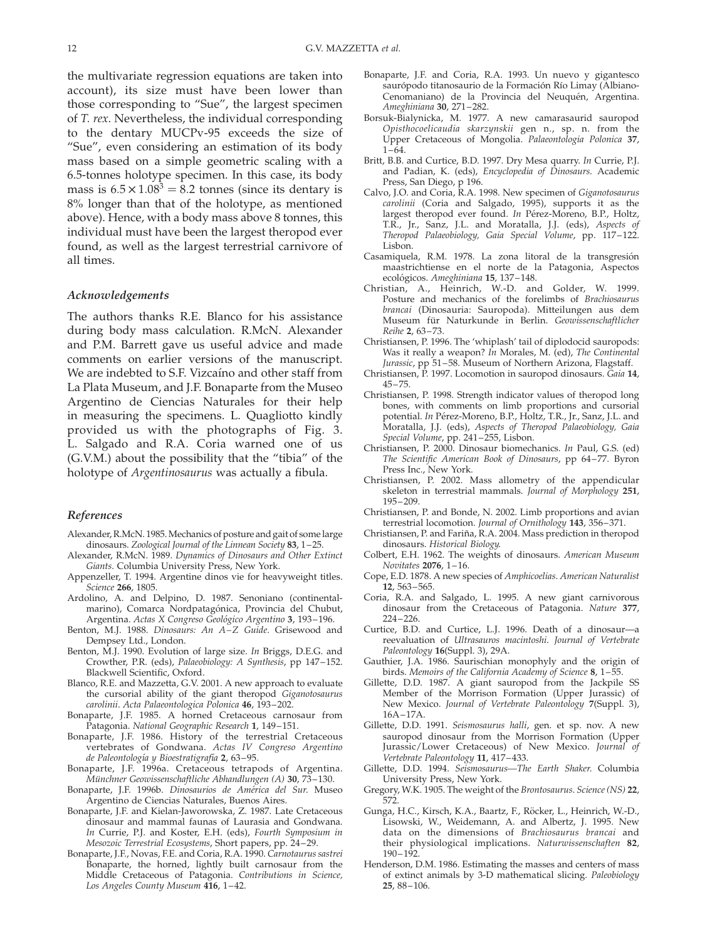the multivariate regression equations are taken into account), its size must have been lower than those corresponding to "Sue", the largest specimen of T. rex. Nevertheless, the individual corresponding to the dentary MUCPv-95 exceeds the size of "Sue", even considering an estimation of its body mass based on a simple geometric scaling with a 6.5-tonnes holotype specimen. In this case, its body mass is  $6.5 \times 1.08^3 = 8.2$  tonnes (since its dentary is 8% longer than that of the holotype, as mentioned above). Hence, with a body mass above 8 tonnes, this individual must have been the largest theropod ever found, as well as the largest terrestrial carnivore of all times.

# Acknowledgements

The authors thanks R.E. Blanco for his assistance during body mass calculation. R.McN. Alexander and P.M. Barrett gave us useful advice and made comments on earlier versions of the manuscript. We are indebted to S.F. Vizcaino and other staff from La Plata Museum, and J.F. Bonaparte from the Museo Argentino de Ciencias Naturales for their help in measuring the specimens. L. Quagliotto kindly provided us with the photographs of Fig. 3. L. Salgado and R.A. Coria warned one of us (G.V.M.) about the possibility that the "tibia" of the holotype of Argentinosaurus was actually a fibula.

# References

- Alexander, R.McN. 1985. Mechanics of posture and gait of some large dinosaurs. Zoological Journal of the Linnean Society 83, 1–25.
- Alexander, R.McN. 1989. Dynamics of Dinosaurs and Other Extinct Giants. Columbia University Press, New York.
- Appenzeller, T. 1994. Argentine dinos vie for heavyweight titles. Science 266, 1805.
- Ardolino, A. and Delpino, D. 1987. Senoniano (continentalmarino), Comarca Nordpatagónica, Provincia del Chubut, Argentina. Actas X Congreso Geológico Argentino 3, 193-196.
- Benton, M.J. 1988. Dinosaurs: An A–Z Guide. Grisewood and Dempsey Ltd., London.
- Benton, M.J. 1990. Evolution of large size. In Briggs, D.E.G. and Crowther, P.R. (eds), Palaeobiology: A Synthesis, pp 147–152. Blackwell Scientific, Oxford.
- Blanco, R.E. and Mazzetta, G.V. 2001. A new approach to evaluate the cursorial ability of the giant theropod Giganotosaurus carolinii. Acta Palaeontologica Polonica 46, 193–202.
- Bonaparte, J.F. 1985. A horned Cretaceous carnosaur from Patagonia. National Geographic Research 1, 149–151.
- Bonaparte, J.F. 1986. History of the terrestrial Cretaceous vertebrates of Gondwana. Actas IV Congreso Argentino de Paleontología y Bioestratigrafía 2, 63-95.
- Bonaparte, J.F. 1996a. Cretaceous tetrapods of Argentina. Münchner Geowissenschaftliche Abhandlungen (A) 30, 73-130.
- Bonaparte, J.F. 1996b. Dinosaurios de América del Sur. Museo Argentino de Ciencias Naturales, Buenos Aires.
- Bonaparte, J.F. and Kielan-Jaworowska, Z. 1987. Late Cretaceous dinosaur and mammal faunas of Laurasia and Gondwana. In Currie, P.J. and Koster, E.H. (eds), Fourth Symposium in Mesozoic Terrestrial Ecosystems, Short papers, pp. 24–29.
- Bonaparte, J.F., Novas, F.E. and Coria, R.A. 1990. Carnotaurus sastrei Bonaparte, the horned, lightly built carnosaur from the Middle Cretaceous of Patagonia. Contributions in Science, Los Angeles County Museum 416, 1–42.
- Bonaparte, J.F. and Coria, R.A. 1993. Un nuevo y gigantesco saurópodo titanosaurio de la Formación Río Limay (Albiano-Cenomaniano) de la Provincia del Neuquén, Argentina. Ameghiniana 30, 271–282.
- Borsuk-Bialynicka, M. 1977. A new camarasaurid sauropod Opisthocoelicaudia skarzynskii gen n., sp. n. from the Upper Cretaceous of Mongolia. Palaeontologia Polonica 37, 1–64.
- Britt, B.B. and Curtice, B.D. 1997. Dry Mesa quarry. In Currie, P.J. and Padian, K. (eds), Encyclopedia of Dinosaurs. Academic Press, San Diego, p 196.
- Calvo, J.O. and Coria, R.A. 1998. New specimen of Giganotosaurus carolinii (Coria and Salgado, 1995), supports it as the largest theropod ever found. In Pérez-Moreno, B.P., Holtz, T.R., Jr., Sanz, J.L. and Moratalla, J.J. (eds), Aspects of Theropod Palaeobiology, Gaia Special Volume, pp. 117–122. Lisbon.
- Casamiquela, R.M. 1978. La zona litoral de la transgresión maastrichtiense en el norte de la Patagonia, Aspectos ecológicos. Ameghiniana 15, 137-148.
- Christian, A., Heinrich, W.-D. and Golder, W. 1999. Posture and mechanics of the forelimbs of Brachiosaurus brancai (Dinosauria: Sauropoda). Mitteilungen aus dem Museum für Naturkunde in Berlin. Geowissenschaftlicher Reihe 2, 63–73.
- Christiansen, P. 1996. The 'whiplash' tail of diplodocid sauropods: Was it really a weapon? In Morales, M. (ed), The Continental Jurassic, pp 51–58. Museum of Northern Arizona, Flagstaff.
- Christiansen, P. 1997. Locomotion in sauropod dinosaurs. Gaia 14, 45–75.
- Christiansen, P. 1998. Strength indicator values of theropod long bones, with comments on limb proportions and cursorial potential. In Pérez-Moreno, B.P., Holtz, T.R., Jr., Sanz, J.L. and Moratalla, J.J. (eds), Aspects of Theropod Palaeobiology, Gaia Special Volume, pp. 241–255, Lisbon.
- Christiansen, P. 2000. Dinosaur biomechanics. In Paul, G.S. (ed) The Scientific American Book of Dinosaurs, pp 64–77. Byron Press Inc., New York.
- Christiansen, P. 2002. Mass allometry of the appendicular skeleton in terrestrial mammals. Journal of Morphology 251, 195–209.
- Christiansen, P. and Bonde, N. 2002. Limb proportions and avian terrestrial locomotion. Journal of Ornithology 143, 356-371.
- Christiansen, P. and Fariña, R.A. 2004. Mass prediction in theropod dinosaurs. Historical Biology.
- Colbert, E.H. 1962. The weights of dinosaurs. American Museum Novitates 2076, 1–16.
- Cope, E.D. 1878. A new species of Amphicoelias. American Naturalist 12, 563–565.
- Coria, R.A. and Salgado, L. 1995. A new giant carnivorous dinosaur from the Cretaceous of Patagonia. Nature 377, 224–226.
- Curtice, B.D. and Curtice, L.J. 1996. Death of a dinosaur—a reevaluation of Ultrasauros macintoshi. Journal of Vertebrate Paleontology 16(Suppl. 3), 29A.
- Gauthier, J.A. 1986. Saurischian monophyly and the origin of birds. Memoirs of the California Academy of Science 8, 1–55.
- Gillette, D.D. 1987. A giant sauropod from the Jackpile SS Member of the Morrison Formation (Upper Jurassic) of New Mexico. Journal of Vertebrate Paleontology 7(Suppl. 3), 16A–17A.
- Gillette, D.D. 1991. Seismosaurus halli, gen. et sp. nov. A new sauropod dinosaur from the Morrison Formation (Upper Jurassic/Lower Cretaceous) of New Mexico. Journal of Vertebrate Paleontology 11, 417–433.
- Gillette, D.D. 1994. Seismosaurus—The Earth Shaker. Columbia University Press, New York.
- Gregory, W.K. 1905. The weight of the Brontosaurus. Science (NS) 22, 572.
- Gunga, H.C., Kirsch, K.A., Baartz, F., Röcker, L., Heinrich, W.-D., Lisowski, W., Weidemann, A. and Albertz, J. 1995. New data on the dimensions of Brachiosaurus brancai and their physiological implications. Naturwissenschaften 82, 190–192.
- Henderson, D.M. 1986. Estimating the masses and centers of mass of extinct animals by 3-D mathematical slicing. Paleobiology 25, 88–106.